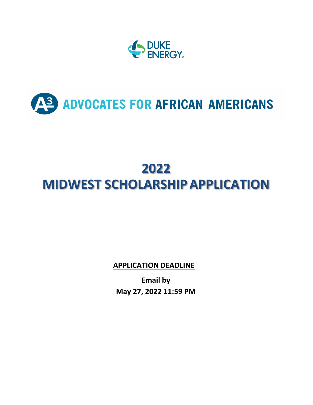

# AS ADVOCATES FOR AFRICAN AMERICANS

## **2022 MIDWEST SCHOLARSHIP APPLICATION**

**APPLICATION DEADLINE**

**Email by May 27, 2022 11:59 PM**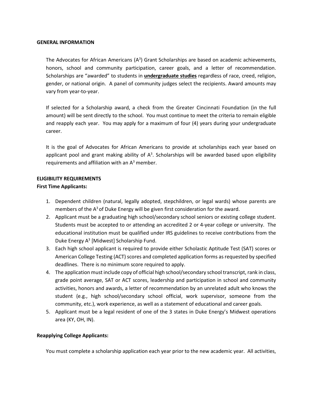#### **GENERAL INFORMATION**

The Advocates for African Americans  $(A<sup>3</sup>)$  Grant Scholarships are based on academic achievements, honors, school and community participation, career goals, and a letter of recommendation. Scholarships are "awarded" to students in **undergraduate studies** regardless of race, creed, religion, gender, or national origin. A panel of community judges select the recipients. Award amounts may vary from year-to-year.

If selected for a Scholarship award, a check from the Greater Cincinnati Foundation (in the full amount) will be sent directly to the school. You must continue to meet the criteria to remain eligible and reapply each year. You may apply for a maximum of four (4) years during your undergraduate career.

It is the goal of Advocates for African Americans to provide at scholarships each year based on applicant pool and grant making ability of  $A<sup>3</sup>$ . Scholarships will be awarded based upon eligibility requirements and affiliation with an  $A<sup>3</sup>$  member.

### **ELIGIBILITY REQUIREMENTS First Time Applicants:**

- 1. Dependent children (natural, legally adopted, stepchildren, or legal wards) whose parents are members of the  $A<sup>3</sup>$  of Duke Energy will be given first consideration for the award.
- 2. Applicant must be a graduating high school/secondary school seniors or existing college student. Students must be accepted to or attending an accredited 2 or 4-year college or university. The educational institution must be qualified under IRS guidelines to receive contributions from the Duke Energy  $A<sup>3</sup>$  [Midwest] Scholarship Fund.
- 3. Each high school applicant is required to provide either Scholastic Aptitude Test (SAT) scores or American College Testing (ACT) scores and completed application forms as requested by specified deadlines. There is no minimum score required to apply.
- 4. The application must include copy of official high school/secondary school transcript, rank in class, grade point average, SAT or ACT scores, leadership and participation in school and community activities, honors and awards, a letter of recommendation by an unrelated adult who knows the student (e.g., high school/secondary school official, work supervisor, someone from the community, etc.), work experience, as well as a statement of educational and career goals.
- 5. Applicant must be a legal resident of one of the 3 states in Duke Energy's Midwest operations area (KY, OH, IN).

### **Reapplying College Applicants:**

You must complete a scholarship application each year prior to the new academic year. All activities,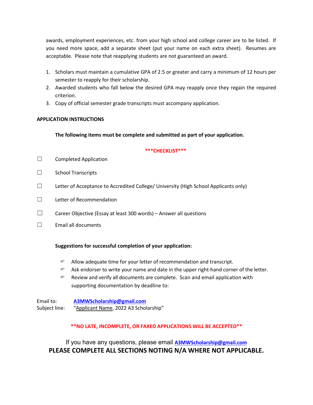awards, employment experiences, etc. from your high school and college career are to be listed. If you need more space, add a separate sheet (put your name on each extra sheet). Resumes are acceptable. Please note that reapplying students are not guaranteed an award.

- 1. Scholars must maintain a cumulative GPA of 2.5 or greater and carry a minimum of 12 hours per semester to reapply for their scholarship.
- 2. Awarded students who fall below the desired GPA may reapply once they regain the required criterion.
- 3. Copy of official semester grade transcripts must accompany application.

### **APPLICATION INSTRUCTIONS**

**The following items must be complete and submitted as part of your application.**

### **\*\*\*CHECKLIST\*\*\***

- ☐ Completed Application
- ☐ School Transcripts
- $\Box$  Letter of Acceptance to Accredited College/ University (High School Applicants only)
- ☐ Letter of Recommendation
- ☐ Career Objective (Essay at least 300 words) Answer all questions
- ☐ Email all documents

### **Suggestions for successful completion of your application:**

- Allow adequate time for your letter of recommendation and transcript.
- Ask endorser to write your name and date in the upper right-hand corner of the letter.
- $\mathcal{F}$  Review and verify all documents are complete. Scan and email application with supporting documentation by deadline to:

Email to: **[A3MWScholarship@gmail.com](mailto:ERGAAACincinnati@duke-energy.com)** Subject line: "Applicant Name, 2022 A3 Scholarship"

### **\*\*NO LATE, INCOMPLETE, OR FAXED APPLICATIONS WILL BE ACCEPTED\*\***

If you have any questions, please email **[A3MWScholarship@gmail.com](mailto:ERGAAACincinnati@duke-energy.com) PLEASE COMPLETE ALL SECTIONS NOTING N/A WHERE NOT APPLICABLE.**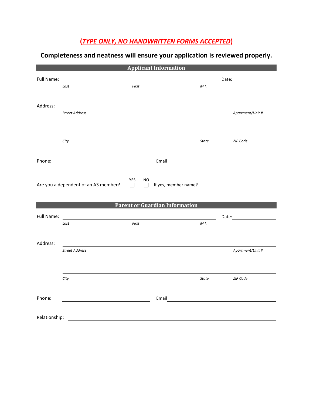### **(***TYPE ONLY, NO HANDWRITTEN FORMS ACCEPTED***)**

| <b>Applicant Information</b> |                                      |                               |                                       |              |                                                                                                                |  |  |
|------------------------------|--------------------------------------|-------------------------------|---------------------------------------|--------------|----------------------------------------------------------------------------------------------------------------|--|--|
| Full Name:                   |                                      |                               |                                       |              | Date: and the state of the state of the state of the state of the state of the state of the state of the state |  |  |
|                              | Last                                 | First                         |                                       | M.I.         |                                                                                                                |  |  |
|                              |                                      |                               |                                       |              |                                                                                                                |  |  |
| Address:                     |                                      |                               |                                       |              |                                                                                                                |  |  |
|                              | <b>Street Address</b>                |                               |                                       |              | Apartment/Unit #                                                                                               |  |  |
|                              |                                      |                               |                                       |              |                                                                                                                |  |  |
|                              |                                      |                               |                                       |              |                                                                                                                |  |  |
|                              | City                                 |                               |                                       | <b>State</b> | ZIP Code                                                                                                       |  |  |
|                              |                                      |                               |                                       |              |                                                                                                                |  |  |
| Phone:                       |                                      |                               | Email                                 |              |                                                                                                                |  |  |
|                              |                                      |                               |                                       |              |                                                                                                                |  |  |
|                              | Are you a dependent of an A3 member? | YES<br>NO<br>$\Box$<br>$\Box$ | If yes, member name?                  |              |                                                                                                                |  |  |
|                              |                                      |                               |                                       |              |                                                                                                                |  |  |
|                              |                                      |                               | <b>Parent or Guardian Information</b> |              |                                                                                                                |  |  |
| Full Name:                   |                                      |                               |                                       |              |                                                                                                                |  |  |
|                              | Last                                 | First                         |                                       | M.I.         |                                                                                                                |  |  |
|                              |                                      |                               |                                       |              |                                                                                                                |  |  |
| Address:                     |                                      |                               |                                       |              |                                                                                                                |  |  |
|                              | <b>Street Address</b>                |                               |                                       |              | Apartment/Unit #                                                                                               |  |  |
|                              |                                      |                               |                                       |              |                                                                                                                |  |  |
|                              |                                      |                               |                                       |              |                                                                                                                |  |  |
|                              | City                                 |                               |                                       | State        | ZIP Code                                                                                                       |  |  |
|                              |                                      |                               |                                       |              |                                                                                                                |  |  |
| Phone:                       |                                      |                               | Email                                 |              |                                                                                                                |  |  |
|                              |                                      |                               |                                       |              |                                                                                                                |  |  |
| Relationship:                |                                      |                               |                                       |              |                                                                                                                |  |  |
|                              |                                      |                               |                                       |              |                                                                                                                |  |  |

### **Completeness and neatness will ensure your application is reviewed properly.**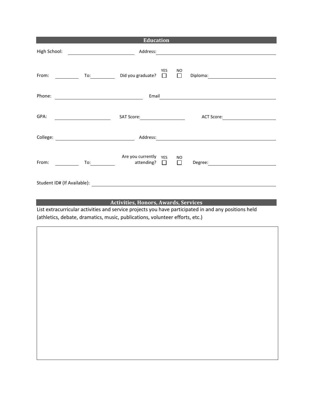|              | <b>Education</b>                                                                       |                                                                                                                                                                                                                                |  |  |  |
|--------------|----------------------------------------------------------------------------------------|--------------------------------------------------------------------------------------------------------------------------------------------------------------------------------------------------------------------------------|--|--|--|
| High School: |                                                                                        |                                                                                                                                                                                                                                |  |  |  |
| From:        | <b>YES</b><br>To: Did you graduate? □                                                  | NO<br>$\Box$                                                                                                                                                                                                                   |  |  |  |
| Phone:       | Email<br><u> 1989 - Johann Stoff, amerikansk politiker (</u>                           |                                                                                                                                                                                                                                |  |  |  |
| GPA:         | SAT Score: <u>___________________</u><br><u> 1990 - John Stone, mars et al.</u>        | ACT Score: North Score                                                                                                                                                                                                         |  |  |  |
|              | College: <u>__________________________________</u>                                     | Address: and the contract of the contract of the contract of the contract of the contract of the contract of the contract of the contract of the contract of the contract of the contract of the contract of the contract of t |  |  |  |
| From:        | Are you currently YES<br>To: $\qquad \qquad \text{attending?} \qquad \Box \qquad \Box$ | <b>NO</b><br>Degree: <u>______________________</u>                                                                                                                                                                             |  |  |  |
|              |                                                                                        |                                                                                                                                                                                                                                |  |  |  |

### **Activities, Honors, Awards, Services**

List extracurricular activities and service projects you have participated in and any positions held (athletics, debate, dramatics, music, publications, volunteer efforts, etc.)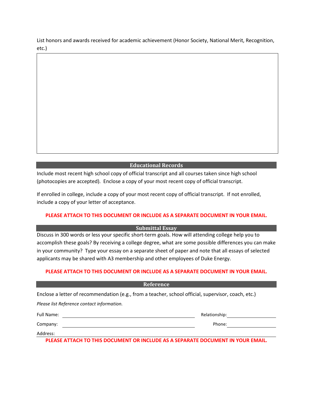List honors and awards received for academic achievement (Honor Society, National Merit, Recognition, etc.)

### **Educational Records**

Include most recent high school copy of official transcript and all courses taken since high school (photocopies are accepted). Enclose a copy of your most recent copy of official transcript.

If enrolled in college, include a copy of your most recent copy of official transcript. If not enrolled, include a copy of your letter of acceptance.

### **PLEASE ATTACH TO THIS DOCUMENT OR INCLUDE AS A SEPARATE DOCUMENT IN YOUR EMAIL.**

### **Submittal Essay**

Discuss in 300 words or less your specific short-term goals. How will attending college help you to accomplish these goals? By receiving a college degree, what are some possible differences you can make in your community? Type your essay on a separate sheet of paper and note that all essays of selected applicants may be shared with A3 membership and other employees of Duke Energy.

### **PLEASE ATTACH TO THIS DOCUMENT OR INCLUDE AS A SEPARATE DOCUMENT IN YOUR EMAIL.**

| Reference                                                                                           |               |  |  |  |  |
|-----------------------------------------------------------------------------------------------------|---------------|--|--|--|--|
| Enclose a letter of recommendation (e.g., from a teacher, school official, supervisor, coach, etc.) |               |  |  |  |  |
| Please list Reference contact information.                                                          |               |  |  |  |  |
| <b>Full Name:</b>                                                                                   | Relationship: |  |  |  |  |
| Company:                                                                                            | Phone:        |  |  |  |  |
| Address:                                                                                            |               |  |  |  |  |
| PLEASE ATTACH TO THIS DOCUMENT OR INCLUDE AS A SEPARATE DOCUMENT IN YOUR EMAIL.                     |               |  |  |  |  |